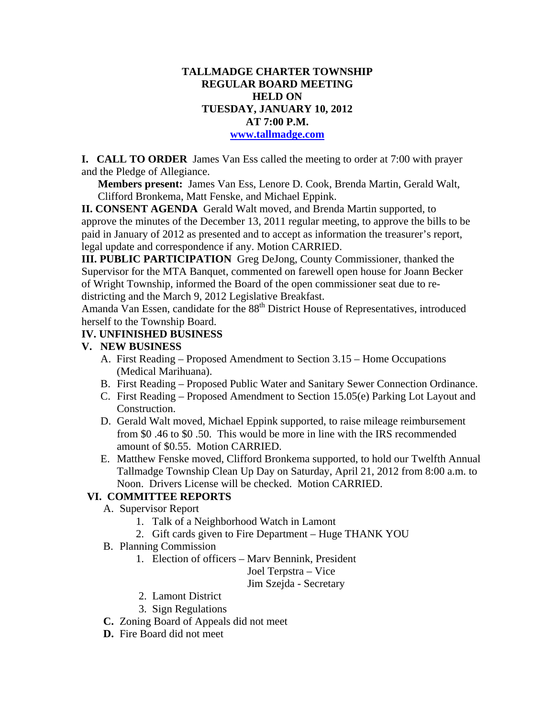## **TALLMADGE CHARTER TOWNSHIP REGULAR BOARD MEETING HELD ON TUESDAY, JANUARY 10, 2012 AT 7:00 P.M.**

#### **www.tallmadge.com**

**I. CALL TO ORDER** James Van Ess called the meeting to order at 7:00 with prayer and the Pledge of Allegiance.

**Members present:** James Van Ess, Lenore D. Cook, Brenda Martin, Gerald Walt, Clifford Bronkema, Matt Fenske, and Michael Eppink.

**II. CONSENT AGENDA** Gerald Walt moved, and Brenda Martin supported, to approve the minutes of the December 13, 2011 regular meeting, to approve the bills to be paid in January of 2012 as presented and to accept as information the treasurer's report, legal update and correspondence if any. Motion CARRIED.

**III. PUBLIC PARTICIPATION** Greg DeJong, County Commissioner, thanked the Supervisor for the MTA Banquet, commented on farewell open house for Joann Becker of Wright Township, informed the Board of the open commissioner seat due to redistricting and the March 9, 2012 Legislative Breakfast.

Amanda Van Essen, candidate for the 88<sup>th</sup> District House of Representatives, introduced herself to the Township Board.

#### **IV. UNFINISHED BUSINESS**

#### **V. NEW BUSINESS**

- A. First Reading Proposed Amendment to Section 3.15 Home Occupations (Medical Marihuana).
- B. First Reading Proposed Public Water and Sanitary Sewer Connection Ordinance.
- C. First Reading Proposed Amendment to Section 15.05(e) Parking Lot Layout and Construction.
- D. Gerald Walt moved, Michael Eppink supported, to raise mileage reimbursement from \$0 .46 to \$0 .50. This would be more in line with the IRS recommended amount of \$0.55. Motion CARRIED.
- E. Matthew Fenske moved, Clifford Bronkema supported, to hold our Twelfth Annual Tallmadge Township Clean Up Day on Saturday, April 21, 2012 from 8:00 a.m. to Noon. Drivers License will be checked. Motion CARRIED.

### **VI. COMMITTEE REPORTS**

- A. Supervisor Report
	- 1. Talk of a Neighborhood Watch in Lamont
	- 2. Gift cards given to Fire Department Huge THANK YOU
- B. Planning Commission
	- 1. Election of officers Marv Bennink, President

Joel Terpstra – Vice

Jim Szejda - Secretary

- 2. Lamont District
- 3. Sign Regulations
- **C.** Zoning Board of Appeals did not meet
- **D.** Fire Board did not meet